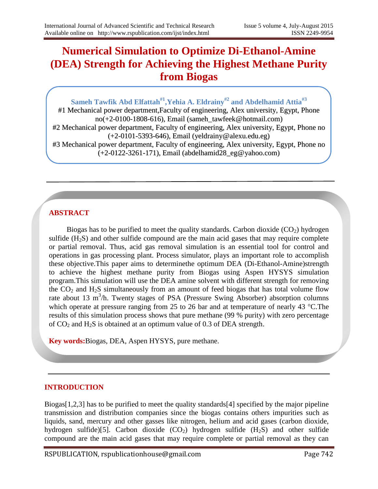# **Numerical Simulation to Optimize Di-Ethanol-Amine (DEA) Strength for Achieving the Highest Methane Purity from Biogas**

# **Sameh Tawfik Abd Elfattah#1,Yehia A. Eldrainy#2 and Abdelhamid Attia#3**

#1 Mechanical power department,Faculty of engineering, Alex university, Egypt, Phone no(+2-0100-1808-616), Email (sameh\_tawfeek@hotmail.com) #2 Mechanical power department, Faculty of engineering, Alex university, Egypt, Phone no (+2-0101-5393-646), Email (yeldrainy@alexu.edu.eg) #3 Mechanical power department, Faculty of engineering, Alex university, Egypt, Phone no (+2-0122-3261-171), Email (abdelhamid28\_eg@yahoo.com)

# **ABSTRACT**

Biogas has to be purified to meet the quality standards. Carbon dioxide  $(CO<sub>2</sub>)$  hydrogen sulfide  $(H<sub>2</sub>S)$  and other sulfide compound are the main acid gases that may require complete or partial removal. Thus, acid gas removal simulation is an essential tool for control and operations in gas processing plant. Process simulator, plays an important role to accomplish these objective.This paper aims to determinethe optimum DEA (Di-Ethanol-Amine)strength to achieve the highest methane purity from Biogas using Aspen HYSYS simulation program.This simulation will use the DEA amine solvent with different strength for removing the  $CO<sub>2</sub>$  and H<sub>2</sub>S simultaneously from an amount of feed biogas that has total volume flow rate about 13  $m<sup>3</sup>/h$ . Twenty stages of PSA (Pressure Swing Absorber) absorption columns which operate at pressure ranging from 25 to 26 bar and at temperature of nearly 43  $^{\circ}$ C. The results of this simulation process shows that pure methane (99 % purity) with zero percentage of  $CO<sub>2</sub>$  and  $H<sub>2</sub>S$  is obtained at an optimum value of 0.3 of DEA strength.

**Key words:**Biogas, DEA, Aspen HYSYS, pure methane.

## **INTRODUCTION**

Biogas $[1,2,3]$  has to be purified to meet the quality standards [4] specified by the major pipeline transmission and distribution companies since the biogas contains others impurities such as liquids, sand, mercury and other gasses like nitrogen, helium and acid gases (carbon dioxide, hydrogen sulfide)[5]. Carbon dioxide  $(CO_2)$  hydrogen sulfide  $(H_2S)$  and other sulfide compound are the main acid gases that may require complete or partial removal as they can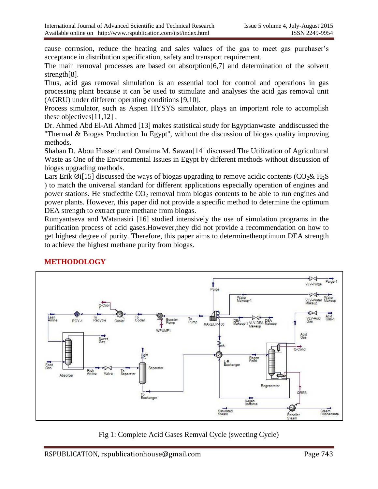cause corrosion, reduce the heating and sales values of the gas to meet gas purchaser's acceptance in distribution specification, safety and transport requirement.

The main removal processes are based on absorption[6,7] and determination of the solvent strength[8].

Thus, acid gas removal simulation is an essential tool for control and operations in gas processing plant because it can be used to stimulate and analyses the acid gas removal unit (AGRU) under different operating conditions [9,10].

Process simulator, such as Aspen HYSYS simulator, plays an important role to accomplish these objectives[11,12] .

Dr. Ahmed Abd El-Ati Ahmed [13] makes statistical study for Egyptianwaste anddiscussed the "Thermal & Biogas Production In Egypt", without the discussion of biogas quality improving methods.

Shaban D. Abou Hussein and Omaima M. Sawan[14] discussed The Utilization of Agricultural Waste as One of the Environmental Issues in Egypt by different methods without discussion of biogas upgrading methods.

Lars Erik Øi<sup>[15]</sup> discussed the ways of biogas upgrading to remove acidic contents ( $CO_2 \& H_2S$ ) ) to match the universal standard for different applications especially operation of engines and power stations. He studied the  $CO<sub>2</sub>$  removal from biogas contents to be able to run engines and power plants. However, this paper did not provide a specific method to determine the optimum DEA strength to extract pure methane from biogas.

Rumyantseva and Watanasiri [16] studied intensively the use of simulation programs in the purification process of acid gases.However,they did not provide a recommendation on how to get highest degree of purity. Therefore, this paper aims to determinetheoptimum DEA strength to achieve the highest methane purity from biogas.



# **METHODOLOGY**

Fig 1: Complete Acid Gases Remval Cycle (sweeting Cycle)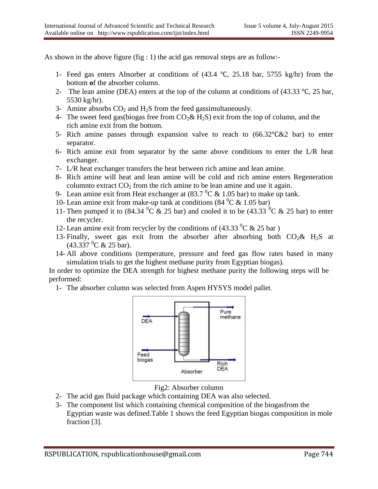As shown in the above figure (fig : 1) the acid gas removal steps are as follow:-

- 1- Feed gas enters Absorber at conditions of (43.4 ℃, 25.18 bar, 5755 kg/hr) from the bottom **o**f the absorber column.
- 2- The lean amine (DEA) enters at the top of the column at conditions of (43.33 ℃, 25 bar, 5530 kg/hr).
- 3- Amine absorbs  $CO<sub>2</sub>$  and  $H<sub>2</sub>S$  from the feed gassimultaneously.
- 4- The sweet feed gas(biogas free from  $CO_2 \& H_2S$ ) exit from the top of column, and the rich amine exit from the bottom.
- 5- Rich amine passes through expansion valve to reach to (66.32℃&2 bar) to enter separator.
- 6- Rich amine exit from separator by the same above conditions to enter the  $L/R$  heat exchanger.
- 7- L/R heat exchanger transfers the heat between rich amine and lean amine.
- 8- Rich amine will heat and lean amine will be cold and rich amine enters Regeneration columnto extract  $CO<sub>2</sub>$  from the rich amine to be lean amine and use it again.
- 9- Lean amine exit from Heat exchanger at  $(83.7 \,^0\text{C} \& 1.05 \,\text{bar})$  to make up tank.
- 10- Lean amine exit from make-up tank at conditions  $(84 \text{ °C} \& 1.05 \text{ bar})$
- 11- Then pumped it to  $(84.34 \, {}^{0}C \& 25 \text{ bar})$  and cooled it to be  $(43.33 \, {}^{0}C \& 25 \text{ bar})$  to enter the recycler.
- 12- Lean amine exit from recycler by the conditions of  $(43.33 \text{ °C} \& 25 \text{ bar})$
- 13- Finally, sweet gas exit from the absorber after absorbing both  $CO_2\& H_2S$  at  $(43.337 \, {}^{0}C \& 25 \text{ bar}).$
- 14- All above conditions (temperature, pressure and feed gas flow rates based in many simulation trials to get the highest methane purity from Egyptian biogas).

In order to optimize the DEA strength for highest methane purity the following steps will be performed:

1- The absorber column was selected from Aspen HYSYS model pallet.



Fig2: Absorber column

- 2- The acid gas fluid package which containing DEA was also selected.
- 3- The component list which containing chemical composition of the biogasfrom the Egyptian waste was defined.Table 1 shows the feed Egyptian biogas composition in mole fraction [3].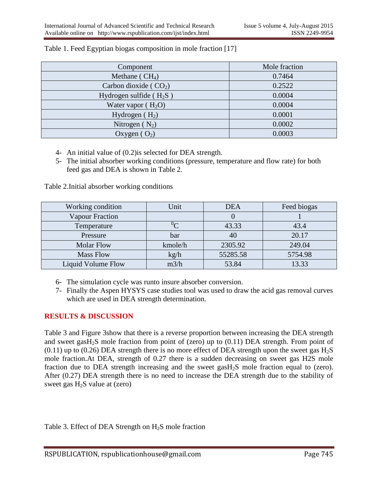| Component                 | Mole fraction |
|---------------------------|---------------|
| Methane ( $CH4$ )         | 0.7464        |
| Carbon dioxide ( $CO2$ )  | 0.2522        |
| Hydrogen sulfide $(H_2S)$ | 0.0004        |
| Water vapor $(H_2O)$      | 0.0004        |
| Hydrogen $(H_2)$          | 0.0001        |
| Nitrogen $(N_2)$          | 0.0002        |
| Oxygen $(O_2)$            | 0.0003        |

#### Table 1. Feed Egyptian biogas composition in mole fraction [17]

- 4- An initial value of (0.2)is selected for DEA strength.
- 5- The initial absorber working conditions (pressure, temperature and flow rate) for both feed gas and DEA is shown in Table 2.

Table 2.Initial absorber working conditions

| Working condition         | Unit    | <b>DEA</b> | Feed biogas |
|---------------------------|---------|------------|-------------|
| <b>Vapour Fraction</b>    |         |            |             |
| Temperature               | $\sim$  | 43.33      | 43.4        |
| Pressure                  | bar     | 40         | 20.17       |
| <b>Molar Flow</b>         | kmole/h | 2305.92    | 249.04      |
| <b>Mass Flow</b>          | kg/h    | 55285.58   | 5754.98     |
| <b>Liquid Volume Flow</b> | m3/h    | 53.84      | 13.33       |

- 6- The simulation cycle was runto insure absorber conversion.
- 7- Finally the Aspen HYSYS case studies tool was used to draw the acid gas removal curves which are used in DEA strength determination.

## **RESULTS & DISCUSSION**

Table 3 and Figure 3show that there is a reverse proportion between increasing the DEA strength and sweet gasH<sub>2</sub>S mole fraction from point of (zero) up to  $(0.11)$  DEA strength. From point of  $(0.11)$  up to  $(0.26)$  DEA strength there is no more effect of DEA strength upon the sweet gas H<sub>2</sub>S mole fraction.At DEA, strength of 0.27 there is a sudden decreasing on sweet gas H2S mole fraction due to DEA strength increasing and the sweet gas $H<sub>2</sub>S$  mole fraction equal to (zero). After (0.27) DEA strength there is no need to increase the DEA strength due to the stability of sweet gas  $H_2S$  value at (zero)

Table 3. Effect of DEA Strength on  $H_2S$  mole fraction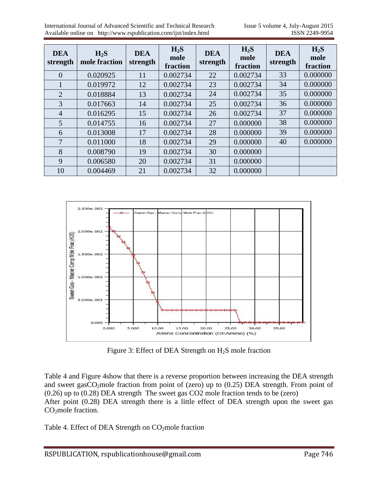International Journal of Advanced Scientific and Technical Research Issue 5 volume 4, July-August 2015 Available online on http://www.rspublication.com/ijst/index.html ISSN 2249-9954

| <b>DEA</b><br>strength | $H_2S$<br>mole fraction | <b>DEA</b><br>strength | $H_2S$<br>mole<br>fraction | <b>DEA</b><br>strength | $H_2S$<br>mole<br>fraction | <b>DEA</b><br>strength | $H_2S$<br>mole<br>fraction |
|------------------------|-------------------------|------------------------|----------------------------|------------------------|----------------------------|------------------------|----------------------------|
| $\overline{0}$         | 0.020925                | 11                     | 0.002734                   | 22                     | 0.002734                   | 33                     | 0.000000                   |
| 1                      | 0.019972                | 12                     | 0.002734                   | 23                     | 0.002734                   | 34                     | 0.000000                   |
| $\overline{2}$         | 0.018884                | 13                     | 0.002734                   | 24                     | 0.002734                   | 35                     | 0.000000                   |
| 3                      | 0.017663                | 14                     | 0.002734                   | 25                     | 0.002734                   | 36                     | 0.000000                   |
| $\overline{4}$         | 0.016295                | 15                     | 0.002734                   | 26                     | 0.002734                   | 37                     | 0.000000                   |
| 5                      | 0.014755                | 16                     | 0.002734                   | 27                     | 0.000000                   | 38                     | 0.000000                   |
| 6                      | 0.013008                | 17                     | 0.002734                   | 28                     | 0.000000                   | 39                     | 0.000000                   |
| 7                      | 0.011000                | 18                     | 0.002734                   | 29                     | 0.000000                   | 40                     | 0.000000                   |
| 8                      | 0.008790                | 19                     | 0.002734                   | 30                     | 0.000000                   |                        |                            |
| 9                      | 0.006580                | 20                     | 0.002734                   | 31                     | 0.000000                   |                        |                            |
| 10                     | 0.004469                | 21                     | 0.002734                   | 32                     | 0.000000                   |                        |                            |



Figure 3: Effect of DEA Strength on  $H_2S$  mole fraction

Table 4 and Figure 4show that there is a reverse proportion between increasing the DEA strength and sweet gas $CO_2$ mole fraction from point of (zero) up to (0.25) DEA strength. From point of (0.26) up to (0.28) DEA strength The sweet gas CO2 mole fraction tends to be (zero) After point (0.28) DEA strength there is a little effect of DEA strength upon the sweet gas  $CO<sub>2</sub>$ mole fraction.

Table 4. Effect of DEA Strength on CO<sub>2</sub>mole fraction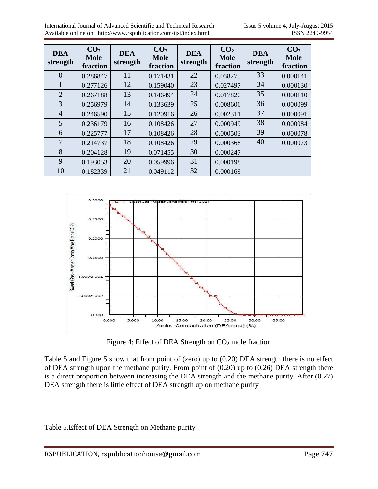| <b>DEA</b><br>strength | CO <sub>2</sub><br><b>Mole</b><br>fraction | <b>DEA</b><br>strength | CO <sub>2</sub><br><b>Mole</b><br>fraction | <b>DEA</b><br>strength | CO <sub>2</sub><br><b>Mole</b><br>fraction | <b>DEA</b><br>strength | CO <sub>2</sub><br><b>Mole</b><br>fraction |
|------------------------|--------------------------------------------|------------------------|--------------------------------------------|------------------------|--------------------------------------------|------------------------|--------------------------------------------|
| $\overline{0}$         | 0.286847                                   | 11                     | 0.171431                                   | 22                     | 0.038275                                   | 33                     | 0.000141                                   |
| $\mathbf{1}$           | 0.277126                                   | 12                     | 0.159040                                   | 23                     | 0.027497                                   | 34                     | 0.000130                                   |
| 2                      | 0.267188                                   | 13                     | 0.146494                                   | 24                     | 0.017820                                   | 35                     | 0.000110                                   |
| 3                      | 0.256979                                   | 14                     | 0.133639                                   | 25                     | 0.008606                                   | 36                     | 0.000099                                   |
| $\overline{4}$         | 0.246590                                   | 15                     | 0.120916                                   | 26                     | 0.002311                                   | 37                     | 0.000091                                   |
| 5                      | 0.236179                                   | 16                     | 0.108426                                   | 27                     | 0.000949                                   | 38                     | 0.000084                                   |
| 6                      | 0.225777                                   | 17                     | 0.108426                                   | 28                     | 0.000503                                   | 39                     | 0.000078                                   |
| 7                      | 0.214737                                   | 18                     | 0.108426                                   | 29                     | 0.000368                                   | 40                     | 0.000073                                   |
| 8                      | 0.204128                                   | 19                     | 0.071455                                   | 30                     | 0.000247                                   |                        |                                            |
| 9                      | 0.193053                                   | 20                     | 0.059996                                   | 31                     | 0.000198                                   |                        |                                            |
| 10                     | 0.182339                                   | 21                     | 0.049112                                   | 32                     | 0.000169                                   |                        |                                            |



Figure 4: Effect of DEA Strength on  $CO<sub>2</sub>$  mole fraction

Table 5 and Figure 5 show that from point of (zero) up to (0.20) DEA strength there is no effect of DEA strength upon the methane purity. From point of (0.20) up to (0.26) DEA strength there is a direct proportion between increasing the DEA strength and the methane purity. After (0.27) DEA strength there is little effect of DEA strength up on methane purity

Table 5.Effect of DEA Strength on Methane purity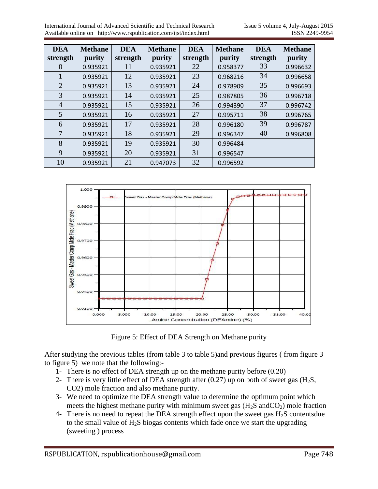| <b>DEA</b><br>strength | <b>Methane</b><br>purity | <b>DEA</b><br>strength | <b>Methane</b><br>purity | <b>DEA</b><br>strength | <b>Methane</b><br>purity | <b>DEA</b><br>strength | <b>Methane</b><br>purity |
|------------------------|--------------------------|------------------------|--------------------------|------------------------|--------------------------|------------------------|--------------------------|
| $\overline{0}$         | 0.935921                 | 11                     | 0.935921                 | 22                     | 0.958377                 | 33                     | 0.996632                 |
| 1                      | 0.935921                 | 12                     | 0.935921                 | 23                     | 0.968216                 | 34                     | 0.996658                 |
| $\overline{2}$         | 0.935921                 | 13                     | 0.935921                 | 24                     | 0.978909                 | 35                     | 0.996693                 |
| 3                      | 0.935921                 | 14                     | 0.935921                 | 25                     | 0.987805                 | 36                     | 0.996718                 |
| $\overline{4}$         | 0.935921                 | 15                     | 0.935921                 | 26                     | 0.994390                 | 37                     | 0.996742                 |
| 5                      | 0.935921                 | 16                     | 0.935921                 | 27                     | 0.995711                 | 38                     | 0.996765                 |
| 6                      | 0.935921                 | 17                     | 0.935921                 | 28                     | 0.996180                 | 39                     | 0.996787                 |
| 7                      | 0.935921                 | 18                     | 0.935921                 | 29                     | 0.996347                 | 40                     | 0.996808                 |
| 8                      | 0.935921                 | 19                     | 0.935921                 | 30                     | 0.996484                 |                        |                          |
| 9                      | 0.935921                 | 20                     | 0.935921                 | 31                     | 0.996547                 |                        |                          |
| 10                     | 0.935921                 | 21                     | 0.947073                 | 32                     | 0.996592                 |                        |                          |



Figure 5: Effect of DEA Strength on Methane purity

After studying the previous tables (from table 3 to table 5)and previous figures ( from figure 3 to figure 5) we note that the following:-

- 1- There is no effect of DEA strength up on the methane purity before (0.20)
- 2- There is very little effect of DEA strength after  $(0.27)$  up on both of sweet gas  $(H_2S, H_3S)$ CO2) mole fraction and also methane purity.
- 3- We need to optimize the DEA strength value to determine the optimum point which meets the highest methane purity with minimum sweet gas  $(H<sub>2</sub>S$  and  $CO<sub>2</sub>)$  mole fraction
- 4- There is no need to repeat the DEA strength effect upon the sweet gas  $H_2S$  contentsdue to the small value of  $H_2S$  biogas contents which fade once we start the upgrading (sweeting ) process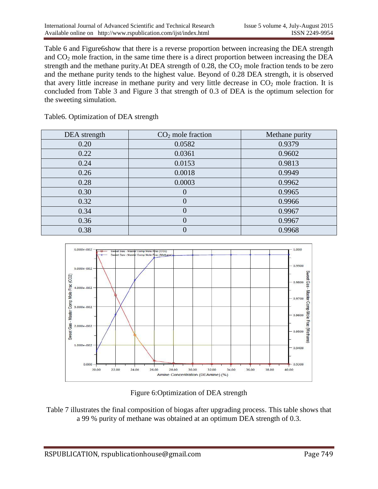Table 6 and Figure6show that there is a reverse proportion between increasing the DEA strength and  $CO<sub>2</sub>$  mole fraction, in the same time there is a direct proportion between increasing the DEA strength and the methane purity. At DEA strength of  $0.28$ , the  $CO<sub>2</sub>$  mole fraction tends to be zero and the methane purity tends to the highest value. Beyond of 0.28 DEA strength, it is observed that avery little increase in methane purity and very little decrease in  $CO<sub>2</sub>$  mole fraction. It is concluded from Table 3 and Figure 3 that strength of 0.3 of DEA is the optimum selection for the sweeting simulation.

Table6. Optimization of DEA strength

| DEA strength | $CO2$ mole fraction | Methane purity |
|--------------|---------------------|----------------|
| 0.20         | 0.0582              | 0.9379         |
| 0.22         | 0.0361              | 0.9602         |
| 0.24         | 0.0153              | 0.9813         |
| 0.26         | 0.0018              | 0.9949         |
| 0.28         | 0.0003              | 0.9962         |
| 0.30         | $\theta$            | 0.9965         |
| 0.32         | 0                   | 0.9966         |
| 0.34         | 0                   | 0.9967         |
| 0.36         | 0                   | 0.9967         |
| 0.38         | 0                   | 0.9968         |



Figure 6:Optimization of DEA strength

Table 7 illustrates the final composition of biogas after upgrading process. This table shows that a 99 % purity of methane was obtained at an optimum DEA strength of 0.3.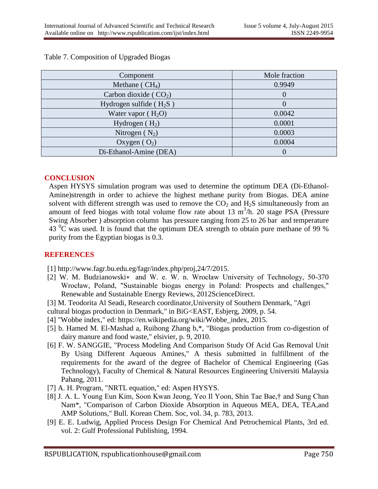| Component                 | Mole fraction |
|---------------------------|---------------|
| Methane ( $CH4$ )         | 0.9949        |
| Carbon dioxide ( $CO2$ )  |               |
| Hydrogen sulfide $(H_2S)$ |               |
| Water vapor $(H_2O)$      | 0.0042        |
| Hydrogen $(H_2)$          | 0.0001        |
| Nitrogen $(N_2)$          | 0.0003        |
| Oxygen $(O_2)$            | 0.0004        |
| Di-Ethanol-Amine (DEA)    |               |

#### Table 7. Composition of Upgraded Biogas

#### **CONCLUSION**

Aspen HYSYS simulation program was used to determine the optimum DEA (Di-Ethanol-Amine)strength in order to achieve the highest methane purity from Biogas. DEA amine solvent with different strength was used to remove the  $CO<sub>2</sub>$  and  $H<sub>2</sub>S$  simultaneously from an amount of feed biogas with total volume flow rate about 13  $m^3/h$ . 20 stage PSA (Pressure Swing Absorber ) absorption column has pressure ranging from 25 to 26 bar and temperature  $43<sup>0</sup>C$  was used. It is found that the optimum DEA strength to obtain pure methane of 99 % purity from the Egyptian biogas is 0.3.

## **REFERENCES**

- [1] http://www.fagr.bu.edu.eg/fagr/index.php/proj,24/7/2015.
- [2] W. M. Budzianowski∗ and W. e. W. n. Wrocław University of Technology, 50-370 Wrocław, Poland, "Sustainable biogas energy in Poland: Prospects and challenges," Renewable and Sustainable Energy Reviews, 2012ScienceDirect.

[3] M. Teodorita Al Seadi, Research coordinator,University of Southern Denmark, "Agri cultural biogas production in Denmark," in BiG<EAST, Esbjerg, 2009, p. 54.

- [4] "Wobbe index," ed: https://en.wikipedia.org/wiki/Wobbe\_index, 2015.
- [5] b. Hamed M. El-Mashad a, Ruihong Zhang b,\*, "Biogas production from co-digestion of dairy manure and food waste," elsivier, p. 9, 2010.
- [6] F. W. SANGGIE, "Process Modeling And Comparison Study Of Acid Gas Removal Unit By Using Different Aqueous Amines," A thesis submitted in fulfillment of the requirements for the award of the degree of Bachelor of Chemical Engineering (Gas Technology), Faculty of Chemical & Natural Resources Engineering Universiti Malaysia Pahang, 2011.
- [7] A. H. Program, "NRTL equation," ed: Aspen HYSYS.
- [8] J. A. L. Young Eun Kim, Soon Kwan Jeong, Yeo Il Yoon, Shin Tae Bae,† and Sung Chan Nam\*, "Comparison of Carbon Dioxide Absorption in Aqueous MEA, DEA, TEA,and AMP Solutions," Bull. Korean Chem. Soc, vol. 34, p. 783, 2013.
- [9] E. E. Ludwig, Applied Process Design For Chemical And Petrochemical Plants, 3rd ed. vol. 2: Gulf Professional Publishing, 1994.